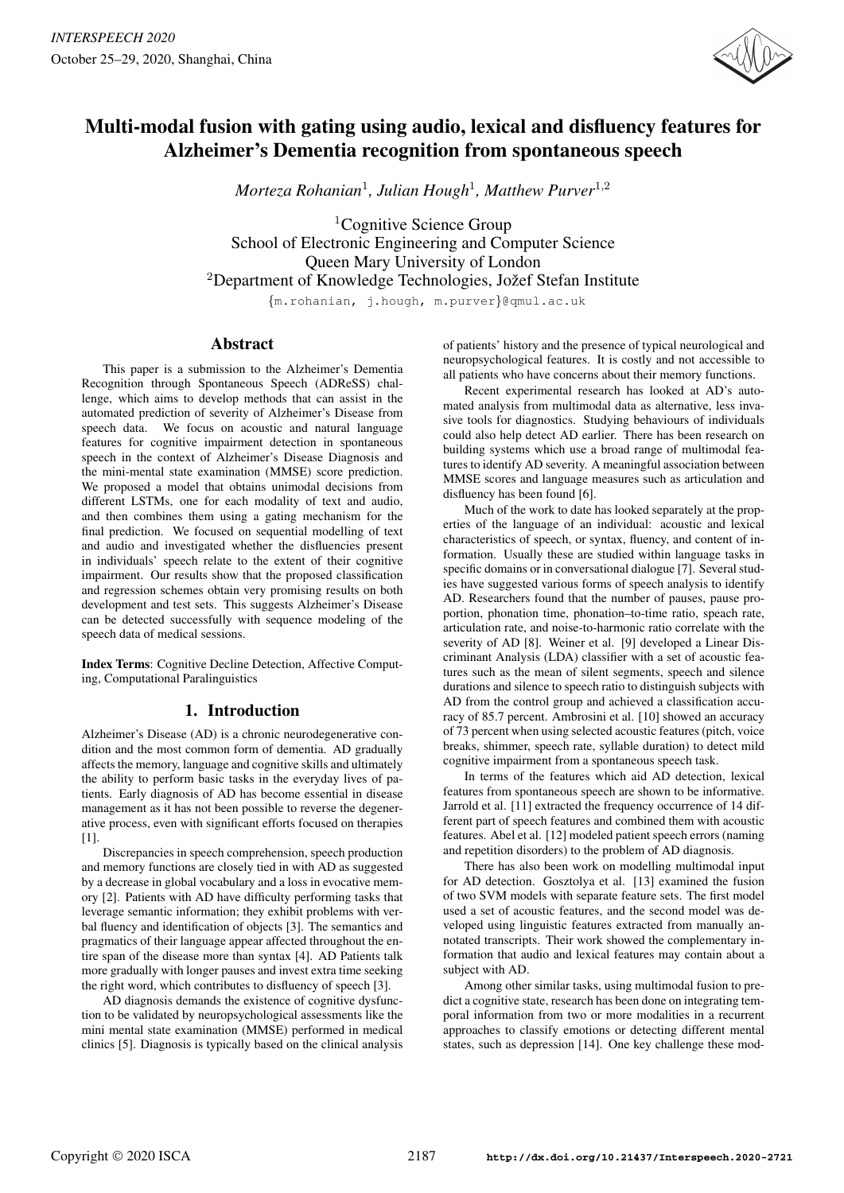

# Multi-modal fusion with gating using audio, lexical and disfluency features for Alzheimer's Dementia recognition from spontaneous speech

*Morteza Rohanian*<sup>1</sup> *, Julian Hough*<sup>1</sup> *, Matthew Purver*<sup>1</sup>,<sup>2</sup>

 ${}^{1}$ Cognitive Science Group School of Electronic Engineering and Computer Science Queen Mary University of London  $2$ Department of Knowledge Technologies, Jožef Stefan Institute

{m.rohanian, j.hough, m.purver}@qmul.ac.uk

# Abstract

This paper is a submission to the Alzheimer's Dementia Recognition through Spontaneous Speech (ADReSS) challenge, which aims to develop methods that can assist in the automated prediction of severity of Alzheimer's Disease from speech data. We focus on acoustic and natural language features for cognitive impairment detection in spontaneous speech in the context of Alzheimer's Disease Diagnosis and the mini-mental state examination (MMSE) score prediction. We proposed a model that obtains unimodal decisions from different LSTMs, one for each modality of text and audio, and then combines them using a gating mechanism for the final prediction. We focused on sequential modelling of text and audio and investigated whether the disfluencies present in individuals' speech relate to the extent of their cognitive impairment. Our results show that the proposed classification and regression schemes obtain very promising results on both development and test sets. This suggests Alzheimer's Disease can be detected successfully with sequence modeling of the speech data of medical sessions.

Index Terms: Cognitive Decline Detection, Affective Computing, Computational Paralinguistics

# 1. Introduction

Alzheimer's Disease (AD) is a chronic neurodegenerative condition and the most common form of dementia. AD gradually affects the memory, language and cognitive skills and ultimately the ability to perform basic tasks in the everyday lives of patients. Early diagnosis of AD has become essential in disease management as it has not been possible to reverse the degenerative process, even with significant efforts focused on therapies [1].

Discrepancies in speech comprehension, speech production and memory functions are closely tied in with AD as suggested by a decrease in global vocabulary and a loss in evocative memory [2]. Patients with AD have difficulty performing tasks that leverage semantic information; they exhibit problems with verbal fluency and identification of objects [3]. The semantics and pragmatics of their language appear affected throughout the entire span of the disease more than syntax [4]. AD Patients talk more gradually with longer pauses and invest extra time seeking the right word, which contributes to disfluency of speech [3].

AD diagnosis demands the existence of cognitive dysfunction to be validated by neuropsychological assessments like the mini mental state examination (MMSE) performed in medical clinics [5]. Diagnosis is typically based on the clinical analysis of patients' history and the presence of typical neurological and neuropsychological features. It is costly and not accessible to all patients who have concerns about their memory functions.

Recent experimental research has looked at AD's automated analysis from multimodal data as alternative, less invasive tools for diagnostics. Studying behaviours of individuals could also help detect AD earlier. There has been research on building systems which use a broad range of multimodal features to identify AD severity. A meaningful association between MMSE scores and language measures such as articulation and disfluency has been found [6].

Much of the work to date has looked separately at the properties of the language of an individual: acoustic and lexical characteristics of speech, or syntax, fluency, and content of information. Usually these are studied within language tasks in specific domains or in conversational dialogue [7]. Several studies have suggested various forms of speech analysis to identify AD. Researchers found that the number of pauses, pause proportion, phonation time, phonation–to-time ratio, speach rate, articulation rate, and noise-to-harmonic ratio correlate with the severity of AD [8]. Weiner et al. [9] developed a Linear Discriminant Analysis (LDA) classifier with a set of acoustic features such as the mean of silent segments, speech and silence durations and silence to speech ratio to distinguish subjects with AD from the control group and achieved a classification accuracy of 85.7 percent. Ambrosini et al. [10] showed an accuracy of 73 percent when using selected acoustic features (pitch, voice breaks, shimmer, speech rate, syllable duration) to detect mild cognitive impairment from a spontaneous speech task.

In terms of the features which aid AD detection, lexical features from spontaneous speech are shown to be informative. Jarrold et al. [11] extracted the frequency occurrence of 14 different part of speech features and combined them with acoustic features. Abel et al. [12] modeled patient speech errors (naming and repetition disorders) to the problem of AD diagnosis.

There has also been work on modelling multimodal input for AD detection. Gosztolya et al. [13] examined the fusion of two SVM models with separate feature sets. The first model used a set of acoustic features, and the second model was developed using linguistic features extracted from manually annotated transcripts. Their work showed the complementary information that audio and lexical features may contain about a subject with AD.

Among other similar tasks, using multimodal fusion to predict a cognitive state, research has been done on integrating temporal information from two or more modalities in a recurrent approaches to classify emotions or detecting different mental states, such as depression [14]. One key challenge these mod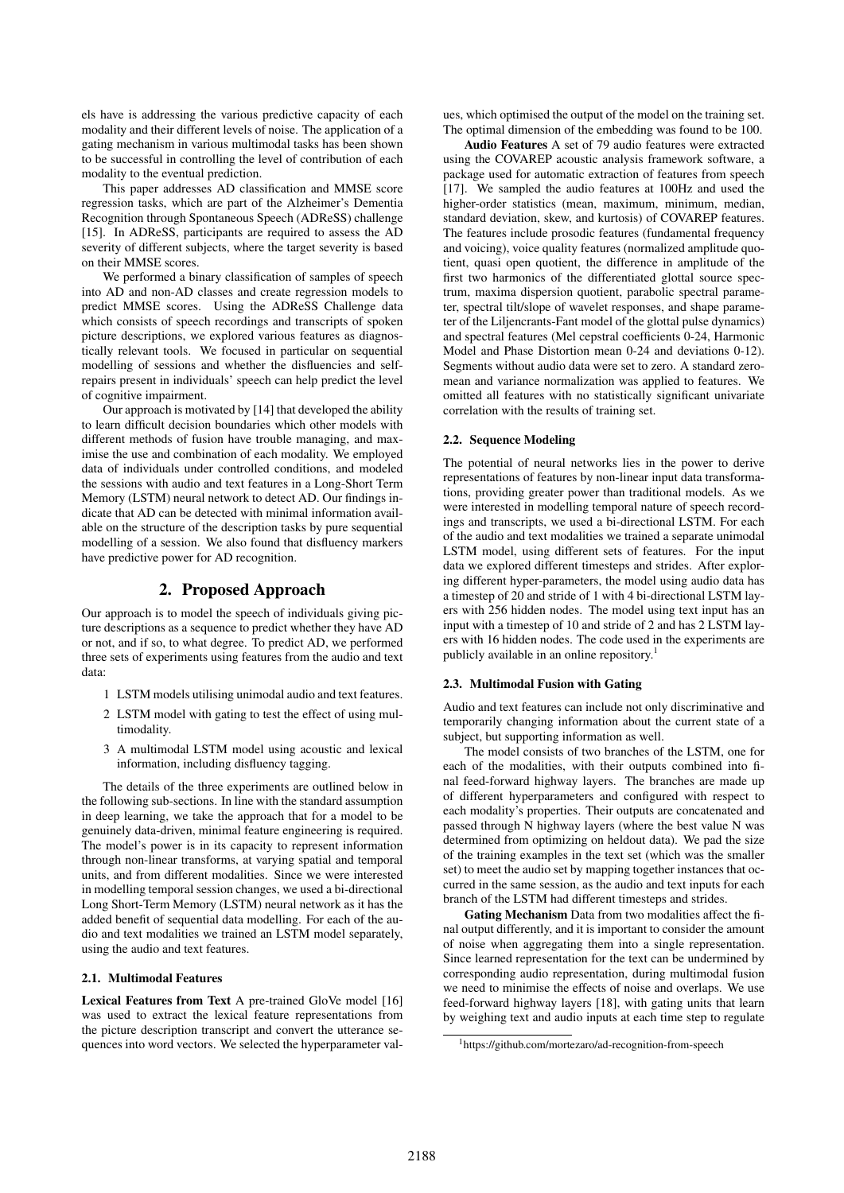els have is addressing the various predictive capacity of each modality and their different levels of noise. The application of a gating mechanism in various multimodal tasks has been shown to be successful in controlling the level of contribution of each modality to the eventual prediction.

This paper addresses AD classification and MMSE score regression tasks, which are part of the Alzheimer's Dementia Recognition through Spontaneous Speech (ADReSS) challenge [15]. In ADReSS, participants are required to assess the AD severity of different subjects, where the target severity is based on their MMSE scores.

We performed a binary classification of samples of speech into AD and non-AD classes and create regression models to predict MMSE scores. Using the ADReSS Challenge data which consists of speech recordings and transcripts of spoken picture descriptions, we explored various features as diagnostically relevant tools. We focused in particular on sequential modelling of sessions and whether the disfluencies and selfrepairs present in individuals' speech can help predict the level of cognitive impairment.

Our approach is motivated by [14] that developed the ability to learn difficult decision boundaries which other models with different methods of fusion have trouble managing, and maximise the use and combination of each modality. We employed data of individuals under controlled conditions, and modeled the sessions with audio and text features in a Long-Short Term Memory (LSTM) neural network to detect AD. Our findings indicate that AD can be detected with minimal information available on the structure of the description tasks by pure sequential modelling of a session. We also found that disfluency markers have predictive power for AD recognition.

## 2. Proposed Approach

Our approach is to model the speech of individuals giving picture descriptions as a sequence to predict whether they have AD or not, and if so, to what degree. To predict AD, we performed three sets of experiments using features from the audio and text data:

- 1 LSTM models utilising unimodal audio and text features.
- 2 LSTM model with gating to test the effect of using multimodality.
- 3 A multimodal LSTM model using acoustic and lexical information, including disfluency tagging.

The details of the three experiments are outlined below in the following sub-sections. In line with the standard assumption in deep learning, we take the approach that for a model to be genuinely data-driven, minimal feature engineering is required. The model's power is in its capacity to represent information through non-linear transforms, at varying spatial and temporal units, and from different modalities. Since we were interested in modelling temporal session changes, we used a bi-directional Long Short-Term Memory (LSTM) neural network as it has the added benefit of sequential data modelling. For each of the audio and text modalities we trained an LSTM model separately, using the audio and text features.

#### 2.1. Multimodal Features

Lexical Features from Text A pre-trained GloVe model [16] was used to extract the lexical feature representations from the picture description transcript and convert the utterance sequences into word vectors. We selected the hyperparameter val-

ues, which optimised the output of the model on the training set. The optimal dimension of the embedding was found to be 100.

Audio Features A set of 79 audio features were extracted using the COVAREP acoustic analysis framework software, a package used for automatic extraction of features from speech [17]. We sampled the audio features at 100Hz and used the higher-order statistics (mean, maximum, minimum, median, standard deviation, skew, and kurtosis) of COVAREP features. The features include prosodic features (fundamental frequency and voicing), voice quality features (normalized amplitude quotient, quasi open quotient, the difference in amplitude of the first two harmonics of the differentiated glottal source spectrum, maxima dispersion quotient, parabolic spectral parameter, spectral tilt/slope of wavelet responses, and shape parameter of the Liljencrants-Fant model of the glottal pulse dynamics) and spectral features (Mel cepstral coefficients 0-24, Harmonic Model and Phase Distortion mean 0-24 and deviations 0-12). Segments without audio data were set to zero. A standard zeromean and variance normalization was applied to features. We omitted all features with no statistically significant univariate correlation with the results of training set.

#### 2.2. Sequence Modeling

The potential of neural networks lies in the power to derive representations of features by non-linear input data transformations, providing greater power than traditional models. As we were interested in modelling temporal nature of speech recordings and transcripts, we used a bi-directional LSTM. For each of the audio and text modalities we trained a separate unimodal LSTM model, using different sets of features. For the input data we explored different timesteps and strides. After exploring different hyper-parameters, the model using audio data has a timestep of 20 and stride of 1 with 4 bi-directional LSTM layers with 256 hidden nodes. The model using text input has an input with a timestep of 10 and stride of 2 and has 2 LSTM layers with 16 hidden nodes. The code used in the experiments are publicly available in an online repository.<sup>1</sup>

#### 2.3. Multimodal Fusion with Gating

Audio and text features can include not only discriminative and temporarily changing information about the current state of a subject, but supporting information as well.

The model consists of two branches of the LSTM, one for each of the modalities, with their outputs combined into final feed-forward highway layers. The branches are made up of different hyperparameters and configured with respect to each modality's properties. Their outputs are concatenated and passed through N highway layers (where the best value N was determined from optimizing on heldout data). We pad the size of the training examples in the text set (which was the smaller set) to meet the audio set by mapping together instances that occurred in the same session, as the audio and text inputs for each branch of the LSTM had different timesteps and strides.

Gating Mechanism Data from two modalities affect the final output differently, and it is important to consider the amount of noise when aggregating them into a single representation. Since learned representation for the text can be undermined by corresponding audio representation, during multimodal fusion we need to minimise the effects of noise and overlaps. We use feed-forward highway layers [18], with gating units that learn by weighing text and audio inputs at each time step to regulate

<sup>1</sup>https://github.com/mortezaro/ad-recognition-from-speech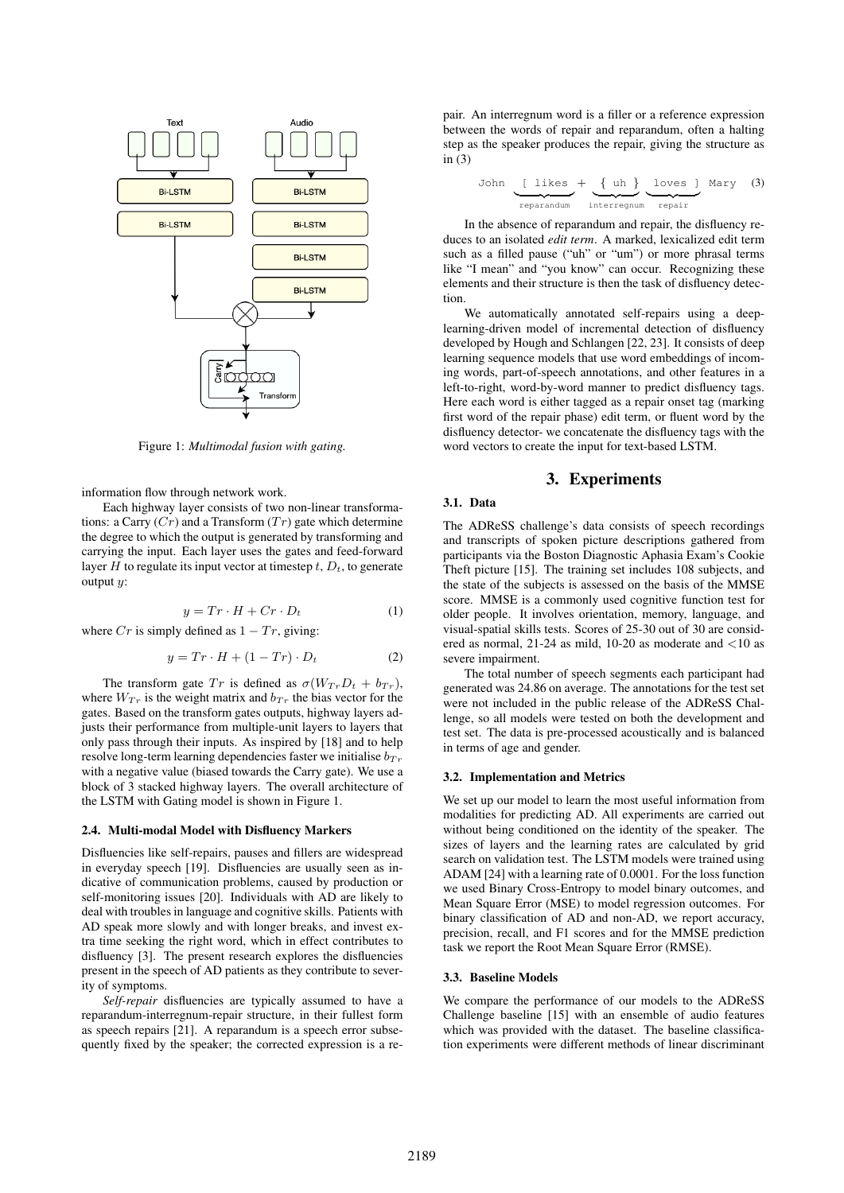

Figure 1: *Multimodal fusion with gating.*

information flow through network work.

Each highway layer consists of two non-linear transformations: a Carry  $(Cr)$  and a Transform  $(Tr)$  gate which determine the degree to which the output is generated by transforming and carrying the input. Each layer uses the gates and feed-forward layer H to regulate its input vector at timestep  $t, D_t$ , to generate output  $u$ :

$$
y = Tr \cdot H + Cr \cdot D_t \tag{1}
$$

where  $Cr$  is simply defined as  $1 - Tr$ , giving:

$$
y = Tr \cdot H + (1 - Tr) \cdot D_t \tag{2}
$$

The transform gate  $Tr$  is defined as  $\sigma(W_{Tr}D_t + b_{Tr}),$ where  $W_{T r}$  is the weight matrix and  $b_{T r}$  the bias vector for the gates. Based on the transform gates outputs, highway layers adjusts their performance from multiple-unit layers to layers that only pass through their inputs. As inspired by [18] and to help resolve long-term learning dependencies faster we initialise  $b_{Tr}$ with a negative value (biased towards the Carry gate). We use a block of 3 stacked highway layers. The overall architecture of the LSTM with Gating model is shown in Figure 1.

#### 2.4. Multi-modal Model with Disfluency Markers

Disfluencies like self-repairs, pauses and fillers are widespread in everyday speech [19]. Disfluencies are usually seen as indicative of communication problems, caused by production or self-monitoring issues [20]. Individuals with AD are likely to deal with troubles in language and cognitive skills. Patients with AD speak more slowly and with longer breaks, and invest extra time seeking the right word, which in effect contributes to disfluency [3]. The present research explores the disfluencies present in the speech of AD patients as they contribute to severity of symptoms.

*Self-repair* disfluencies are typically assumed to have a reparandum-interregnum-repair structure, in their fullest form as speech repairs [21]. A reparandum is a speech error subsequently fixed by the speaker; the corrected expression is a repair. An interregnum word is a filler or a reference expression between the words of repair and reparandum, often a halting step as the speaker produces the repair, giving the structure as in  $(3)$ 

John 
$$
\underbrace{\text{likes}}_{\text{reparamdum}} + \underbrace{\{\text{uh}}_{\text{interremum}} \underbrace{\text{loves}}_{\text{repair}} \text{Mary (3)}
$$

In the absence of reparandum and repair, the disfluency reduces to an isolated *edit term*. A marked, lexicalized edit term such as a filled pause ("uh" or "um") or more phrasal terms like "I mean" and "you know" can occur. Recognizing these elements and their structure is then the task of disfluency detection.

We automatically annotated self-repairs using a deeplearning-driven model of incremental detection of disfluency developed by Hough and Schlangen [22, 23]. It consists of deep learning sequence models that use word embeddings of incoming words, part-of-speech annotations, and other features in a left-to-right, word-by-word manner to predict disfluency tags. Here each word is either tagged as a repair onset tag (marking first word of the repair phase) edit term, or fluent word by the disfluency detector- we concatenate the disfluency tags with the word vectors to create the input for text-based LSTM.

### 3. Experiments

## 3.1. Data

The ADReSS challenge's data consists of speech recordings and transcripts of spoken picture descriptions gathered from participants via the Boston Diagnostic Aphasia Exam's Cookie Theft picture [15]. The training set includes 108 subjects, and the state of the subjects is assessed on the basis of the MMSE score. MMSE is a commonly used cognitive function test for older people. It involves orientation, memory, language, and visual-spatial skills tests. Scores of 25-30 out of 30 are considered as normal, 21-24 as mild, 10-20 as moderate and <10 as severe impairment.

The total number of speech segments each participant had generated was 24.86 on average. The annotations for the test set were not included in the public release of the ADReSS Challenge, so all models were tested on both the development and test set. The data is pre-processed acoustically and is balanced in terms of age and gender.

#### 3.2. Implementation and Metrics

We set up our model to learn the most useful information from modalities for predicting AD. All experiments are carried out without being conditioned on the identity of the speaker. The sizes of layers and the learning rates are calculated by grid search on validation test. The LSTM models were trained using ADAM [24] with a learning rate of 0.0001. For the loss function we used Binary Cross-Entropy to model binary outcomes, and Mean Square Error (MSE) to model regression outcomes. For binary classification of AD and non-AD, we report accuracy, precision, recall, and F1 scores and for the MMSE prediction task we report the Root Mean Square Error (RMSE).

#### 3.3. Baseline Models

We compare the performance of our models to the ADReSS Challenge baseline [15] with an ensemble of audio features which was provided with the dataset. The baseline classification experiments were different methods of linear discriminant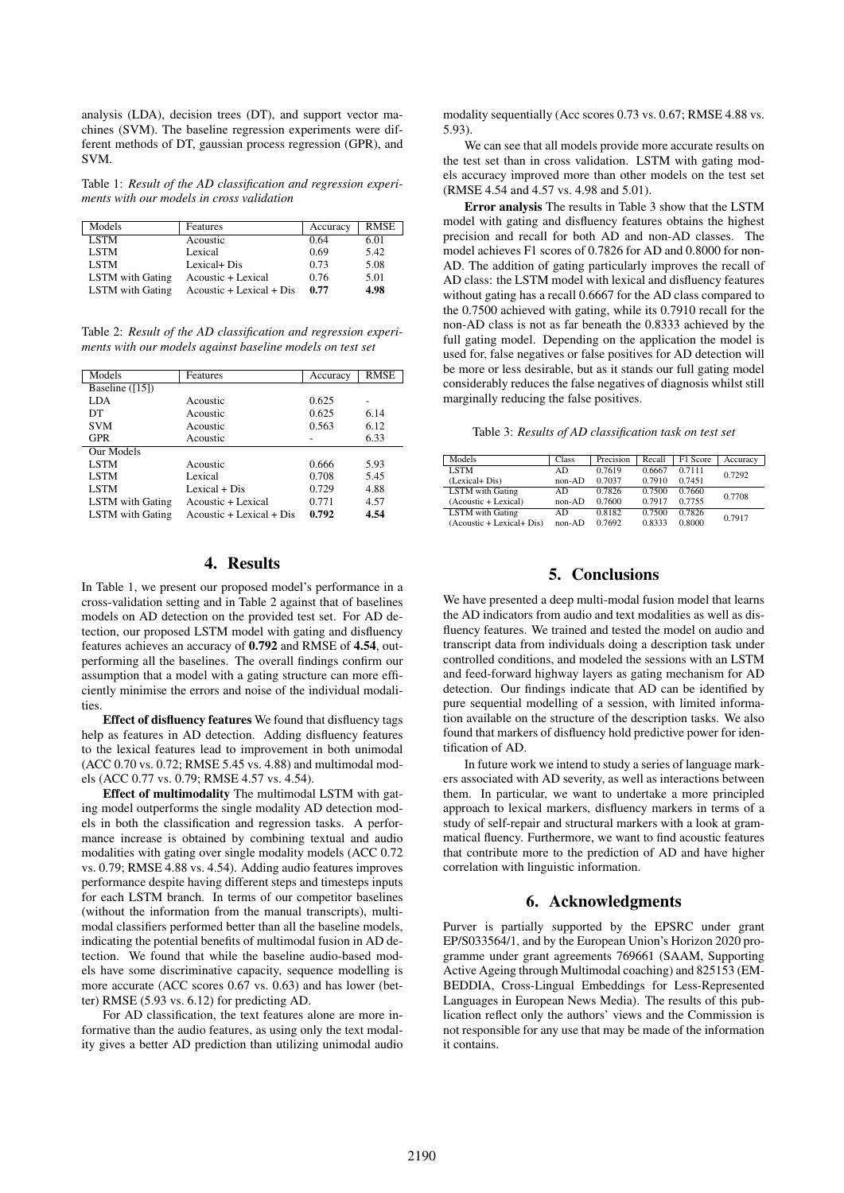analysis (LDA), decision trees (DT), and support vector machines (SVM). The baseline regression experiments were different methods of DT, gaussian process regression (GPR), and SVM.

Table 1: *Result of the AD classification and regression experiments with our models in cross validation*

| Models                  | Features                                        | Accuracy | <b>RMSE</b> |
|-------------------------|-------------------------------------------------|----------|-------------|
| <b>LSTM</b>             | Acoustic                                        | 0.64     | 6.01        |
| <b>LSTM</b>             | Lexical                                         | 0.69     | 5.42        |
| <b>LSTM</b>             | Lexical+ Dis                                    | 0.73     | 5.08        |
| LSTM with Gating        | Acoustic + Lexical                              | 0.76     | 5.01        |
| <b>LSTM</b> with Gating | $A\text{constic} + L\text{exical} + \text{Dis}$ | 0.77     | 4.98        |

Table 2: *Result of the AD classification and regression experiments with our models against baseline models on test set*

| Models                  | Features                    | Accuracy | RMSE |
|-------------------------|-----------------------------|----------|------|
| Baseline ([15])         |                             |          |      |
| LDA                     | Acoustic                    | 0.625    |      |
| DT                      | Acoustic                    | 0.625    | 6.14 |
| <b>SVM</b>              | Acoustic                    | 0.563    | 6.12 |
| <b>GPR</b>              | Acoustic                    |          | 6.33 |
| Our Models              |                             |          |      |
| LSTM                    | Acoustic                    | 0.666    | 5.93 |
| <b>LSTM</b>             | Lexical                     | 0.708    | 5.45 |
| <b>LSTM</b>             | Lexical + Dis               | 0.729    | 4.88 |
| <b>LSTM</b> with Gating | Acoustic + Lexical          | 0.771    | 4.57 |
| <b>LSTM</b> with Gating | $A$ coustic + Lexical + Dis | 0.792    | 4.54 |

## 4. Results

In Table 1, we present our proposed model's performance in a cross-validation setting and in Table 2 against that of baselines models on AD detection on the provided test set. For AD detection, our proposed LSTM model with gating and disfluency features achieves an accuracy of 0.792 and RMSE of 4.54, outperforming all the baselines. The overall findings confirm our assumption that a model with a gating structure can more efficiently minimise the errors and noise of the individual modalities

Effect of disfluency features We found that disfluency tags help as features in AD detection. Adding disfluency features to the lexical features lead to improvement in both unimodal (ACC 0.70 vs. 0.72; RMSE 5.45 vs. 4.88) and multimodal models (ACC 0.77 vs. 0.79; RMSE 4.57 vs. 4.54).

Effect of multimodality The multimodal LSTM with gating model outperforms the single modality AD detection models in both the classification and regression tasks. A performance increase is obtained by combining textual and audio modalities with gating over single modality models (ACC 0.72 vs. 0.79; RMSE 4.88 vs. 4.54). Adding audio features improves performance despite having different steps and timesteps inputs for each LSTM branch. In terms of our competitor baselines (without the information from the manual transcripts), multimodal classifiers performed better than all the baseline models, indicating the potential benefits of multimodal fusion in AD detection. We found that while the baseline audio-based models have some discriminative capacity, sequence modelling is more accurate (ACC scores 0.67 vs. 0.63) and has lower (better) RMSE (5.93 vs. 6.12) for predicting AD.

For AD classification, the text features alone are more informative than the audio features, as using only the text modality gives a better AD prediction than utilizing unimodal audio

modality sequentially (Acc scores 0.73 vs. 0.67; RMSE 4.88 vs. 5.93).

We can see that all models provide more accurate results on the test set than in cross validation. LSTM with gating models accuracy improved more than other models on the test set (RMSE 4.54 and 4.57 vs. 4.98 and 5.01).

Error analysis The results in Table 3 show that the LSTM model with gating and disfluency features obtains the highest precision and recall for both AD and non-AD classes. The model achieves F1 scores of 0.7826 for AD and 0.8000 for non-AD. The addition of gating particularly improves the recall of AD class: the LSTM model with lexical and disfluency features without gating has a recall 0.6667 for the AD class compared to the 0.7500 achieved with gating, while its 0.7910 recall for the non-AD class is not as far beneath the 0.8333 achieved by the full gating model. Depending on the application the model is used for, false negatives or false positives for AD detection will be more or less desirable, but as it stands our full gating model considerably reduces the false negatives of diagnosis whilst still marginally reducing the false positives.

Table 3: *Results of AD classification task on test set*

| Models                              | Class    | Precision | Recall | F1 Score | Accuracy |
|-------------------------------------|----------|-----------|--------|----------|----------|
| <b>LSTM</b>                         | AD       | 0.7619    | 0.6667 | 0.7111   | 0.7292   |
| (Lexical+Dis)                       | $non-AD$ | 0.7037    | 0.7910 | 0.7451   |          |
| <b>LSTM</b> with Gating             | AD.      | 0.7826    | 0.7500 | 0.7660   | 0.7708   |
| (Acoustic + Lexical)                | $non-AD$ | 0.7600    | 0.7917 | 0.7755   |          |
| <b>LSTM</b> with Gating             | AD       | 0.8182    | 0.7500 | 0.7826   | 0.7917   |
| $(A\text{coustic} + Lexical + Dis)$ | $non-AD$ | 0.7692    | 0.8333 | 0.8000   |          |

# 5. Conclusions

We have presented a deep multi-modal fusion model that learns the AD indicators from audio and text modalities as well as disfluency features. We trained and tested the model on audio and transcript data from individuals doing a description task under controlled conditions, and modeled the sessions with an LSTM and feed-forward highway layers as gating mechanism for AD detection. Our findings indicate that AD can be identified by pure sequential modelling of a session, with limited information available on the structure of the description tasks. We also found that markers of disfluency hold predictive power for identification of AD.

In future work we intend to study a series of language markers associated with AD severity, as well as interactions between them. In particular, we want to undertake a more principled approach to lexical markers, disfluency markers in terms of a study of self-repair and structural markers with a look at grammatical fluency. Furthermore, we want to find acoustic features that contribute more to the prediction of AD and have higher correlation with linguistic information.

## 6. Acknowledgments

Purver is partially supported by the EPSRC under grant EP/S033564/1, and by the European Union's Horizon 2020 programme under grant agreements 769661 (SAAM, Supporting Active Ageing through Multimodal coaching) and 825153 (EM-BEDDIA, Cross-Lingual Embeddings for Less-Represented Languages in European News Media). The results of this publication reflect only the authors' views and the Commission is not responsible for any use that may be made of the information it contains.